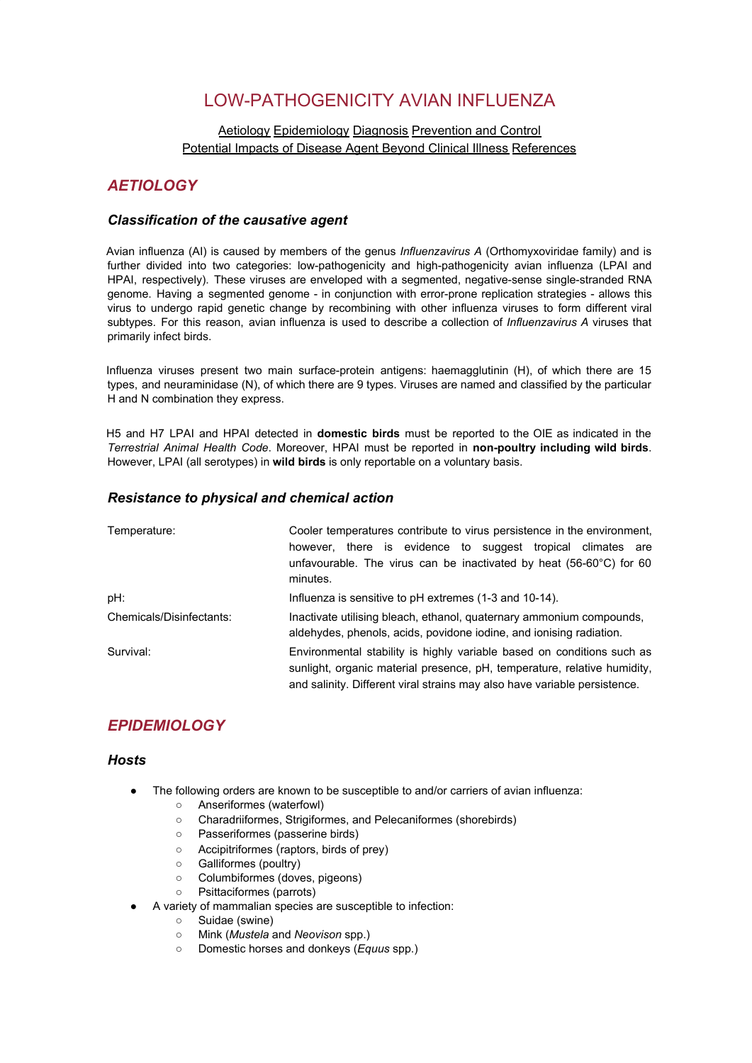# LOW-PATHOGENICITY AVIAN INFLUENZA

### [Aetiology](http://www.oie.int/eng/maladies/fiches/a_A080.htm#1) [Epidemiology](http://www.oie.int/eng/maladies/fiches/a_A080.htm#2) [Diagnosis](http://www.oie.int/eng/maladies/fiches/a_A080.htm#3) [Prevention](http://www.oie.int/eng/maladies/fiches/a_A080.htm#4) and Control Potential Impacts of Disease Agent Beyond Clinical Illness [References](http://www.oie.int/eng/maladies/fiches/a_A080.htm#5)

## *AETIOLOGY*

### *Classification of the causative agent*

Avian influenza (AI) is caused by members of the genus *Influenzavirus A* (Orthomyxoviridae family) and is further divided into two categories: low-pathogenicity and high-pathogenicity avian influenza (LPAI and HPAI, respectively). These viruses are enveloped with a segmented, negative-sense single-stranded RNA genome. Having a segmented genome - in conjunction with error-prone replication strategies - allows this virus to undergo rapid genetic change by recombining with other influenza viruses to form different viral subtypes. For this reason, avian influenza is used to describe a collection of *Influenzavirus A* viruses that primarily infect birds.

Influenza viruses present two main surface-protein antigens: haemagglutinin (H), of which there are 15 types, and neuraminidase (N), of which there are 9 types. Viruses are named and classified by the particular H and N combination they express.

H5 and H7 LPAI and HPAI detected in **domestic birds** must be reported to the OIE as indicated in the *Terrestrial Animal Health Code*. Moreover, HPAI must be reported in **non-poultry including wild birds**. However, LPAI (all serotypes) in **wild birds** is only reportable on a voluntary basis.

### *Resistance to physical and chemical action*

| Temperature:             | Cooler temperatures contribute to virus persistence in the environment.<br>however, there is evidence to suggest tropical climates are<br>unfavourable. The virus can be inactivated by heat $(56-60^{\circ}C)$ for 60<br>minutes. |
|--------------------------|------------------------------------------------------------------------------------------------------------------------------------------------------------------------------------------------------------------------------------|
| pH:                      | Influenza is sensitive to pH extremes (1-3 and 10-14).                                                                                                                                                                             |
| Chemicals/Disinfectants: | Inactivate utilising bleach, ethanol, quaternary ammonium compounds,<br>aldehydes, phenols, acids, povidone iodine, and ionising radiation.                                                                                        |
| Survival:                | Environmental stability is highly variable based on conditions such as<br>sunlight, organic material presence, pH, temperature, relative humidity,<br>and salinity. Different viral strains may also have variable persistence.    |

## *EPIDEMIOLOGY*

### *Hosts*

- The following orders are known to be susceptible to and/or carriers of avian influenza:
	- Anseriformes (waterfowl)
		- Charadriiformes, Strigiformes, and Pelecaniformes (shorebirds)
		- Passeriformes (passerine birds)
		- Accipitriformes (raptors, birds of prey)
		- Galliformes (poultry)
		- Columbiformes (doves, pigeons)
		- Psittaciformes (parrots)
- A variety of mammalian species are susceptible to infection:
	- Suidae (swine)
	- Mink (*Mustela* and *Neovison* spp.)
	- Domestic horses and donkeys (*Equus* spp.)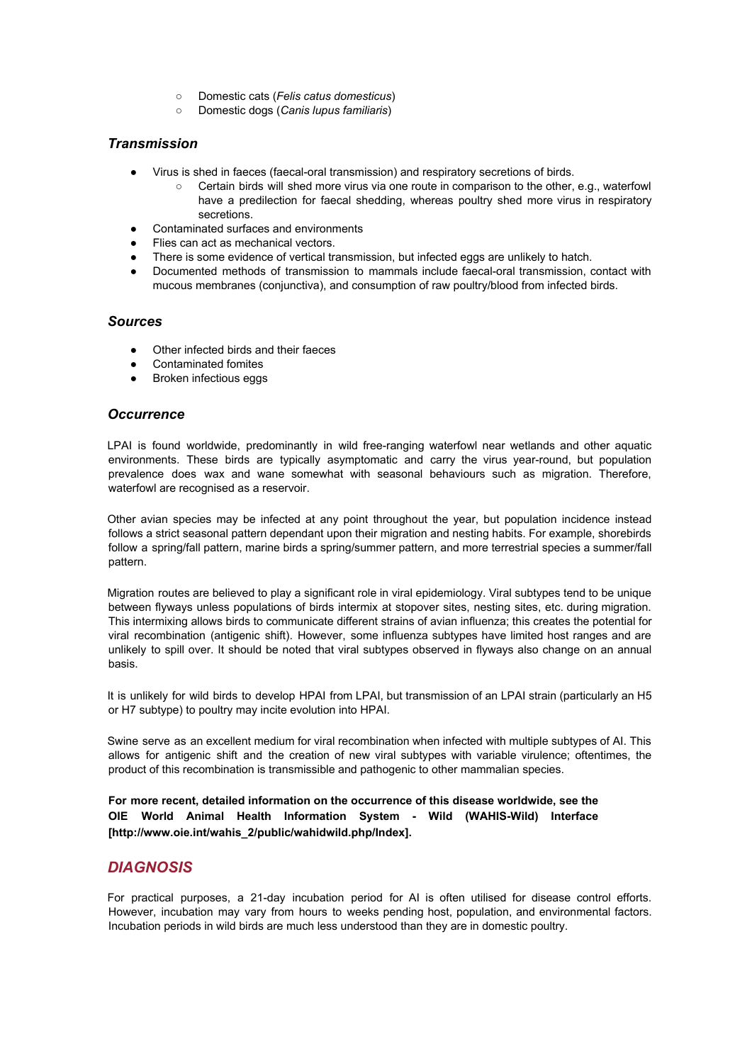- Domestic cats (*Felis catus domesticus*)
- Domestic dogs (*Canis lupus familiaris*)

#### *Transmission*

- Virus is shed in faeces (faecal-oral transmission) and respiratory secretions of birds.
	- Certain birds will shed more virus via one route in comparison to the other, e.g., waterfowl have a predilection for faecal shedding, whereas poultry shed more virus in respiratory secretions.
- Contaminated surfaces and environments
- Flies can act as mechanical vectors.
- There is some evidence of vertical transmission, but infected eggs are unlikely to hatch.
- Documented methods of transmission to mammals include faecal-oral transmission, contact with mucous membranes (conjunctiva), and consumption of raw poultry/blood from infected birds.

#### *Sources*

- Other infected birds and their faeces
- Contaminated fomites
- Broken infectious eggs

### *Occurrence*

LPAI is found worldwide, predominantly in wild free-ranging waterfowl near wetlands and other aquatic environments. These birds are typically asymptomatic and carry the virus year-round, but population prevalence does wax and wane somewhat with seasonal behaviours such as migration. Therefore, waterfowl are recognised as a reservoir.

Other avian species may be infected at any point throughout the year, but population incidence instead follows a strict seasonal pattern dependant upon their migration and nesting habits. For example, shorebirds follow a spring/fall pattern, marine birds a spring/summer pattern, and more terrestrial species a summer/fall pattern.

Migration routes are believed to play a significant role in viral epidemiology. Viral subtypes tend to be unique between flyways unless populations of birds intermix at stopover sites, nesting sites, etc. during migration. This intermixing allows birds to communicate different strains of avian influenza; this creates the potential for viral recombination (antigenic shift). However, some influenza subtypes have limited host ranges and are unlikely to spill over. It should be noted that viral subtypes observed in flyways also change on an annual basis.

It is unlikely for wild birds to develop HPAI from LPAI, but transmission of an LPAI strain (particularly an H5 or H7 subtype) to poultry may incite evolution into HPAI.

Swine serve as an excellent medium for viral recombination when infected with multiple subtypes of AI. This allows for antigenic shift and the creation of new viral subtypes with variable virulence; oftentimes, the product of this recombination is transmissible and pathogenic to other mammalian species.

**For more recent, detailed information on the occurrence of this disease worldwide, see the OIE World Animal Health Information System - Wild (WAHIS-Wild) Interface [http://www.oie.int/wahis\_2/public/wahidwild.php/Index].**

## *DIAGNOSIS*

For practical purposes, a 21-day incubation period for AI is often utilised for disease control efforts. However, incubation may vary from hours to weeks pending host, population, and environmental factors. Incubation periods in wild birds are much less understood than they are in domestic poultry.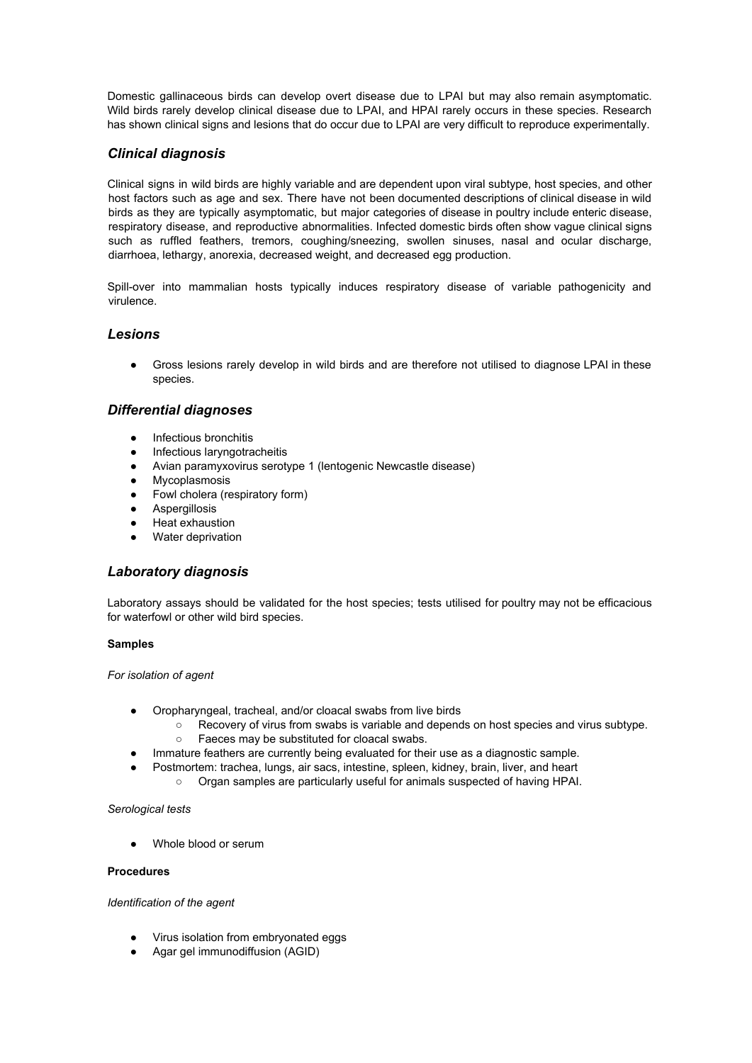Domestic gallinaceous birds can develop overt disease due to LPAI but may also remain asymptomatic. Wild birds rarely develop clinical disease due to LPAI, and HPAI rarely occurs in these species. Research has shown clinical signs and lesions that do occur due to LPAI are very difficult to reproduce experimentally.

### *Clinical diagnosis*

Clinical signs in wild birds are highly variable and are dependent upon viral subtype, host species, and other host factors such as age and sex. There have not been documented descriptions of clinical disease in wild birds as they are typically asymptomatic, but major categories of disease in poultry include enteric disease, respiratory disease, and reproductive abnormalities. Infected domestic birds often show vague clinical signs such as ruffled feathers, tremors, coughing/sneezing, swollen sinuses, nasal and ocular discharge, diarrhoea, lethargy, anorexia, decreased weight, and decreased egg production.

Spill-over into mammalian hosts typically induces respiratory disease of variable pathogenicity and virulence.

### *Lesions*

Gross lesions rarely develop in wild birds and are therefore not utilised to diagnose LPAI in these species.

#### *Differential diagnoses*

- Infectious bronchitis
- Infectious laryngotracheitis
- Avian paramyxovirus serotype 1 (lentogenic Newcastle disease)
- Mycoplasmosis
- Fowl cholera (respiratory form)
- Aspergillosis
- Heat exhaustion
- Water deprivation

### *Laboratory diagnosis*

Laboratory assays should be validated for the host species; tests utilised for poultry may not be efficacious for waterfowl or other wild bird species.

#### **Samples**

*For isolation of agent*

- Oropharyngeal, tracheal, and/or cloacal swabs from live birds
	- Recovery of virus from swabs is variable and depends on host species and virus subtype.
		- Faeces may be substituted for cloacal swabs.
- Immature feathers are currently being evaluated for their use as a diagnostic sample.
	- Postmortem: trachea, lungs, air sacs, intestine, spleen, kidney, brain, liver, and heart
		- Organ samples are particularly useful for animals suspected of having HPAI.

#### *Serological tests*

Whole blood or serum

#### **Procedures**

*Identification of the agent*

- Virus isolation from embryonated eggs
- Agar gel immunodiffusion (AGID)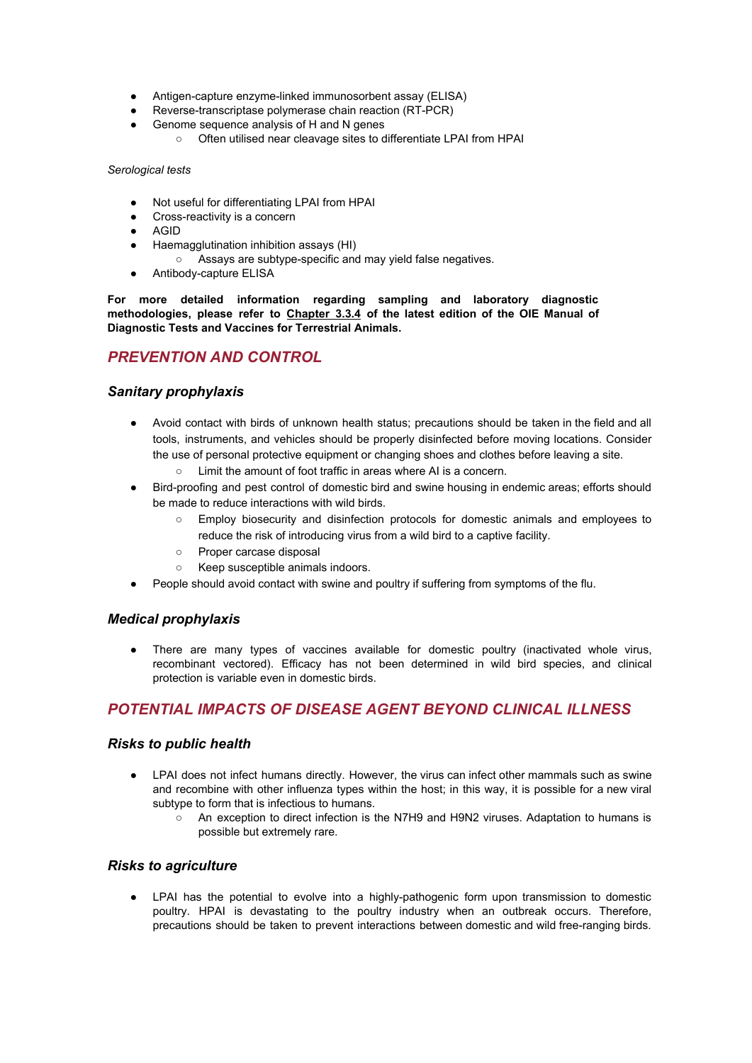- Antigen-capture enzyme-linked immunosorbent assay (ELISA)
- Reverse-transcriptase polymerase chain reaction (RT-PCR)
- Genome sequence analysis of H and N genes
	- Often utilised near cleavage sites to differentiate LPAI from HPAI

#### *Serological tests*

- Not useful for differentiating LPAI from HPAI
- Cross-reactivity is a concern
- AGID
- Haemagglutination inhibition assays (HI)
	- Assays are subtype-specific and may yield false negatives.
- Antibody-capture ELISA

**For more detailed information regarding sampling and laboratory diagnostic methodologies, please refer to Chapter 3.3.4 of the latest edition of the OIE Manual of Diagnostic Tests and Vaccines for Terrestrial Animals.**

## *PREVENTION AND CONTROL*

#### *Sanitary prophylaxis*

- Avoid contact with birds of unknown health status; precautions should be taken in the field and all tools, instruments, and vehicles should be properly disinfected before moving locations. Consider the use of personal protective equipment or changing shoes and clothes before leaving a site.
	- Limit the amount of foot traffic in areas where AI is a concern.
- Bird-proofing and pest control of domestic bird and swine housing in endemic areas; efforts should be made to reduce interactions with wild birds.
	- Employ biosecurity and disinfection protocols for domestic animals and employees to reduce the risk of introducing virus from a wild bird to a captive facility.
	- Proper carcase disposal
	- Keep susceptible animals indoors.
- People should avoid contact with swine and poultry if suffering from symptoms of the flu.

### *Medical prophylaxis*

● There are many types of vaccines available for domestic poultry (inactivated whole virus, recombinant vectored). Efficacy has not been determined in wild bird species, and clinical protection is variable even in domestic birds.

## *POTENTIAL IMPACTS OF DISEASE AGENT BEYOND CLINICAL ILLNESS*

#### *Risks to public health*

- LPAI does not infect humans directly. However, the virus can infect other mammals such as swine and recombine with other influenza types within the host; in this way, it is possible for a new viral subtype to form that is infectious to humans.
	- An exception to direct infection is the N7H9 and H9N2 viruses. Adaptation to humans is possible but extremely rare.

#### *Risks to agriculture*

LPAI has the potential to evolve into a highly-pathogenic form upon transmission to domestic poultry. HPAI is devastating to the poultry industry when an outbreak occurs. Therefore, precautions should be taken to prevent interactions between domestic and wild free-ranging birds.